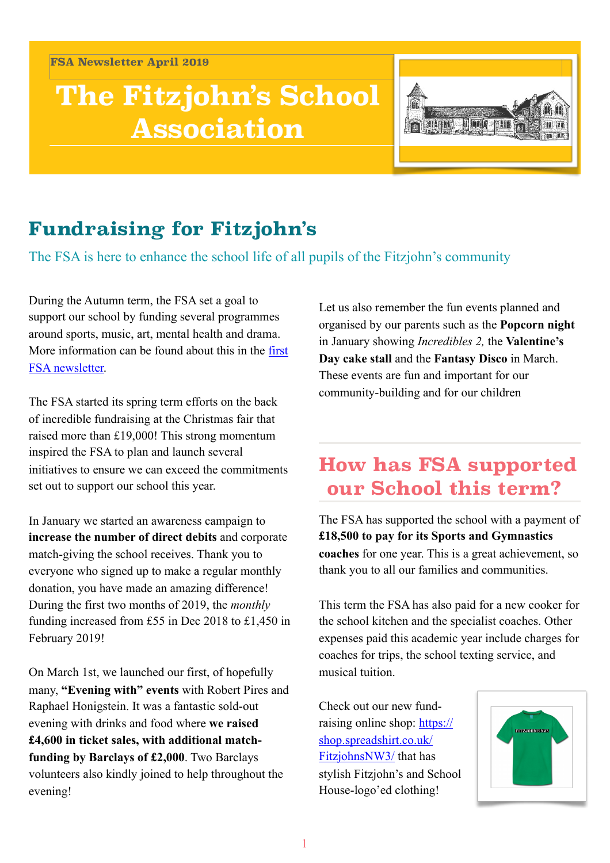**FSA Newsletter April 2019**

# **The Fitzjohn's School Association**



# **Fundraising for Fitzjohn's**

The FSA is here to enhance the school life of all pupils of the Fitzjohn's community

During the Autumn term, the FSA set a goal to support our school by funding several programmes around sports, music, art, mental health and drama. More information can be found about this in the [first](http://www.fitzjohns.camden.sch.uk/_documents/%255B266844%255DFSA_newsletter_Final.pdf)  [FSA newsletter.](http://www.fitzjohns.camden.sch.uk/_documents/%255B266844%255DFSA_newsletter_Final.pdf)

The FSA started its spring term efforts on the back of incredible fundraising at the Christmas fair that raised more than £19,000! This strong momentum inspired the FSA to plan and launch several initiatives to ensure we can exceed the commitments set out to support our school this year.

In January we started an awareness campaign to **increase the number of direct debits** and corporate match-giving the school receives. Thank you to everyone who signed up to make a regular monthly donation, you have made an amazing difference! During the first two months of 2019, the *monthly* funding increased from £55 in Dec 2018 to £1,450 in February 2019!

On March 1st, we launched our first, of hopefully many, **"Evening with" events** with Robert Pires and Raphael Honigstein. It was a fantastic sold-out evening with drinks and food where **we raised £4,600 in ticket sales, with additional matchfunding by Barclays of £2,000**. Two Barclays volunteers also kindly joined to help throughout the evening!

Let us also remember the fun events planned and organised by our parents such as the **Popcorn night**  in January showing *Incredibles 2,* the **Valentine's Day cake stall** and the **Fantasy Disco** in March. These events are fun and important for our community-building and for our children

### **How has FSA supported our School this term?**

The FSA has supported the school with a payment of **£18,500 to pay for its Sports and Gymnastics coaches** for one year. This is a great achievement, so thank you to all our families and communities.

This term the FSA has also paid for a new cooker for the school kitchen and the specialist coaches. Other expenses paid this academic year include charges for coaches for trips, the school texting service, and musical tuition.

Check out our new fundraising online shop: [https://](https://shop.spreadshirt.co.uk/FitzjohnsNW3/) [shop.spreadshirt.co.uk/](https://shop.spreadshirt.co.uk/FitzjohnsNW3/) [FitzjohnsNW3/](https://shop.spreadshirt.co.uk/FitzjohnsNW3/) that has stylish Fitzjohn's and School House-logo'ed clothing!